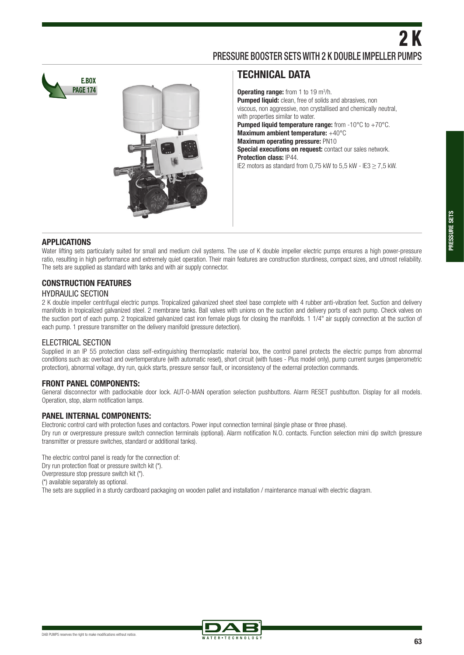**E.BOX PAGE 174**



### **TECHNICAL DATA**

**Operating range:** from 1 to 19 m<sup>3</sup>/h. **Pumped liquid:** clean, free of solids and abrasives, non viscous, non aggressive, non crystallised and chemically neutral, with properties similar to water. **Pumped liquid temperature range:** from -10°C to +70°C. **Maximum ambient temperature:** +40°C **Maximum operating pressure: PN10 Special executions on request:** contact our sales network. **Protection class:** IP44. IE2 motors as standard from 0,75 kW to 5,5 kW - IE3  $\geq$  7,5 kW.

#### **APPLICATIONS**

Water lifting sets particularly suited for small and medium civil systems. The use of K double impeller electric pumps ensures a high power-pressure ratio, resulting in high performance and extremely quiet operation. Their main features are construction sturdiness, compact sizes, and utmost reliability. The sets are supplied as standard with tanks and with air supply connector.

## **CONSTRUCTION FEATURES**

#### HYDRAULIC SECTION

2 K double impeller centrifugal electric pumps. Tropicalized galvanized sheet steel base complete with 4 rubber anti-vibration feet. Suction and delivery manifolds in tropicalized galvanized steel. 2 membrane tanks. Ball valves with unions on the suction and delivery ports of each pump. Check valves on the suction port of each pump. 2 tropicalized galvanized cast iron female plugs for closing the manifolds. 1 1/4" air supply connection at the suction of each pump. 1 pressure transmitter on the delivery manifold (pressure detection).

#### ELECTRICAL SECTION

Supplied in an IP 55 protection class self-extinguishing thermoplastic material box, the control panel protects the electric pumps from abnormal conditions such as: overload and overtemperature (with automatic reset), short circuit (with fuses - Plus model only), pump current surges (amperometric protection), abnormal voltage, dry run, quick starts, pressure sensor fault, or inconsistency of the external protection commands.

#### **FRONT PANEL COMPONENTS:**

General disconnector with padlockable door lock. AUT-0-MAN operation selection pushbuttons. Alarm RESET pushbutton. Display for all models. Operation, stop, alarm notification lamps.

#### **PANEL INTERNAL COMPONENTS:**

Electronic control card with protection fuses and contactors. Power input connection terminal (single phase or three phase). Dry run or overpressure pressure switch connection terminals (optional). Alarm notification N.O. contacts. Function selection mini dip switch (pressure transmitter or pressure switches, standard or additional tanks).

The electric control panel is ready for the connection of:

Dry run protection float or pressure switch kit (\*).

Overpressure stop pressure switch kit (\*).

(\*) available separately as optional.

The sets are supplied in a sturdy cardboard packaging on wooden pallet and installation / maintenance manual with electric diagram.

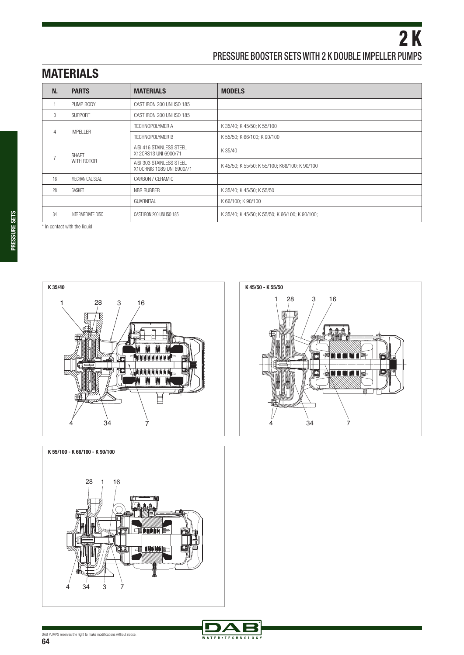# **MATERIALS**

| N.             | <b>PARTS</b>        | <b>MATERIALS</b>                                      | <b>MODELS</b>                                  |
|----------------|---------------------|-------------------------------------------------------|------------------------------------------------|
|                | PUMP BODY           | CAST IRON 200 UNI ISO 185                             |                                                |
| 3              | <b>SUPPORT</b>      | CAST IRON 200 UNI ISO 185                             |                                                |
| $\overline{4}$ | <b>IMPELLER</b>     | TECHNOPOLYMER A                                       | K 35/40; K 45/50; K 55/100                     |
|                |                     | <b>TECHNOPOLYMER B</b>                                | K 55/50; K 66/100; K 90/100                    |
| $\overline{7}$ | SHAFT<br>WITH ROTOR | AISI 416 STAINLESS STEEL<br>X12CRS13 UNI 6900/71      | K 35/40                                        |
|                |                     | AISI 303 STAINLESS STEEL<br>X10CRNIS 1089 UNI 6900/71 | K 45/50; K 55/50; K 55/100; K66/100; K 90/100  |
| 16             | MECHANICAL SEAL     | CARBON / CERAMIC                                      |                                                |
| 28             | GASKFT              | NBR RUBBER                                            | K 35/40; K 45/50; K 55/50                      |
|                |                     | <b>GUARNITAL</b>                                      | K 66/100; K 90/100                             |
| 34             | INTERMEDIATE DISC   | CAST IRON 200 UNI ISO 185                             | K 35/40; K 45/50; K 55/50; K 66/100; K 90/100; |

\* In contact with the liquid